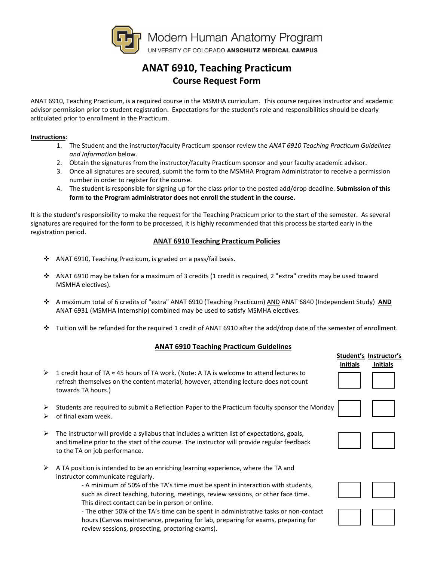

# **ANAT 6910, Teaching Practicum Course Request Form**

ANAT 6910, Teaching Practicum, is a required course in the MSMHA curriculum. This course requires instructor and academic advisor permission prior to student registration. Expectations for the student's role and responsibilities should be clearly articulated prior to enrollment in the Practicum.

#### **Instructions**:

- 1. The Student and the instructor/faculty Practicum sponsor review the *ANAT 6910 Teaching Practicum Guidelines and Information* below.
- 2. Obtain the signatures from the instructor/faculty Practicum sponsor and your faculty academic advisor.
- 3. Once all signatures are secured, submit the form to the MSMHA Program Administrator to receive a permission number in order to register for the course.
- 4. The student is responsible for signing up for the class prior to the posted add/drop deadline. **Submission of this form to the Program administrator does not enroll the student in the course.**

It is the student's responsibility to make the request for the Teaching Practicum prior to the start of the semester. As several signatures are required for the form to be processed, it is highly recommended that this process be started early in the registration period.

### **ANAT 6910 Teaching Practicum Policies**

- ANAT 6910, Teaching Practicum, is graded on a pass/fail basis.
- ANAT 6910 may be taken for a maximum of 3 credits (1 credit is required, 2 "extra" credits may be used toward MSMHA electives).
- A maximum total of 6 credits of "extra" ANAT 6910 (Teaching Practicum) AND ANAT 6840 (Independent Study) **AND** ANAT 6931 (MSMHA Internship) combined may be used to satisfy MSMHA electives.
- $\cdot \cdot$  Tuition will be refunded for the required 1 credit of ANAT 6910 after the add/drop date of the semester of enrollment.

### **ANAT 6910 Teaching Practicum Guidelines**

| $\triangleright$ 1 credit hour of TA $\approx$ 45 hours of TA work. (Note: A TA is welcome to attend lectures to |
|------------------------------------------------------------------------------------------------------------------|
| refresh themselves on the content material; however, attending lecture does not count                            |
| towards TA hours.)                                                                                               |

- $\triangleright$  Students are required to submit a Reflection Paper to the Practicum faculty sponsor the Monday
- $\triangleright$  of final exam week.
- $\triangleright$  The instructor will provide a syllabus that includes a written list of expectations, goals, and timeline prior to the start of the course. The instructor will provide regular feedback to the TA on job performance.
- $\triangleright$  A TA position is intended to be an enriching learning experience, where the TA and instructor communicate regularly.

- A minimum of 50% of the TA's time must be spent in interaction with students, such as direct teaching, tutoring, meetings, review sessions, or other face time. This direct contact can be in person or online.

- The other 50% of the TA's time can be spent in administrative tasks or non-contact hours (Canvas maintenance, preparing for lab, preparing for exams, preparing for review sessions, prosecting, proctoring exams).

| Initials | Student's Instructor's<br>Initials |  |
|----------|------------------------------------|--|
|          |                                    |  |